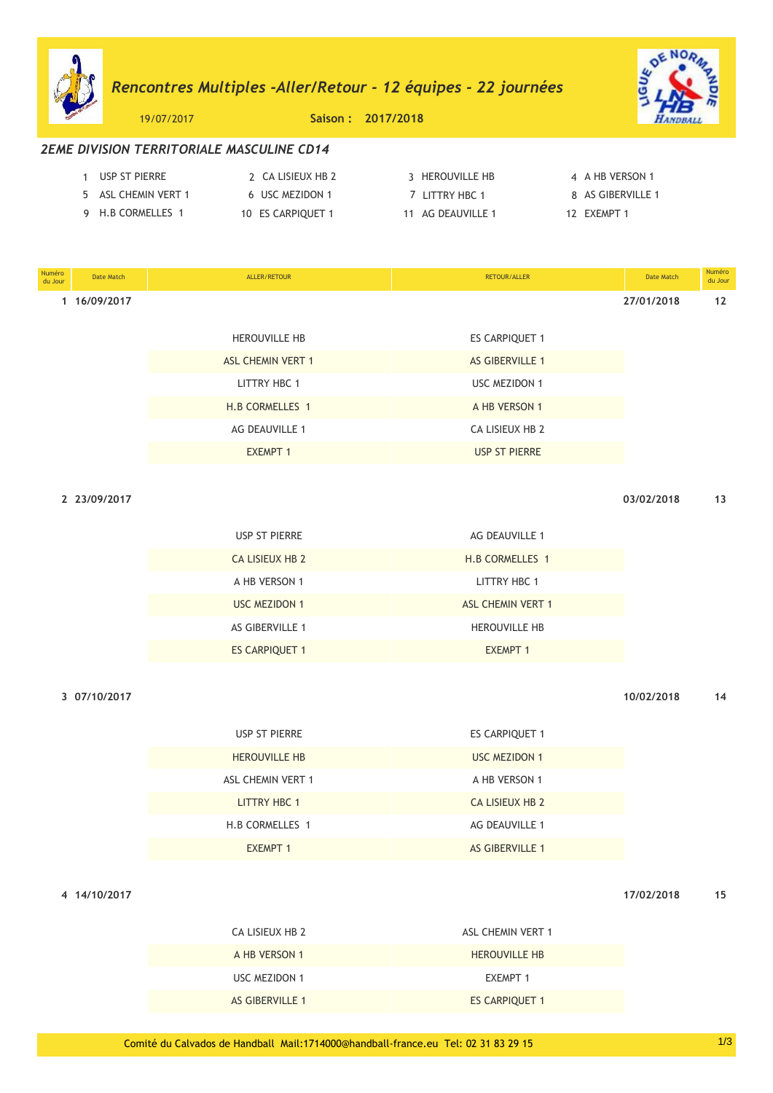# *Rencontres Multiples -Aller/Retour - 12 Èquipes - 22 journÈes*



19/07/2017 **Saison : 2017/2018**

# *2EME DIVISION TERRITORIALE MASCULINE CD14*

| USP ST PIERRE       | 2 CA LISIEUX HB 2 | 3 HEROUVILLE HB   | 4 A HB VERSON 1   |
|---------------------|-------------------|-------------------|-------------------|
| 5 ASL CHEMIN VERT 1 | 6 USC MEZIDON 1   | 7 LITTRY HBC 1    | 8 AS GIBERVILLE 1 |
| 9 H.B CORMELLES 1   | 10 ES CARPIQUET 1 | 11 AG DEAUVILLE 1 | 12 FXFMPT 1       |

| Numéro<br>du Jour | Date Match   | ALLER/RETOUR             | RETOUR/ALLER           | Date Match | Numéro<br>du Jour |
|-------------------|--------------|--------------------------|------------------------|------------|-------------------|
|                   | 1 16/09/2017 |                          |                        | 27/01/2018 | 12                |
|                   |              | <b>HEROUVILLE HB</b>     | ES CARPIQUET 1         |            |                   |
|                   |              | <b>ASL CHEMIN VERT 1</b> | <b>AS GIBERVILLE 1</b> |            |                   |
|                   |              | <b>LITTRY HBC 1</b>      | <b>USC MEZIDON 1</b>   |            |                   |
|                   |              | H.B CORMELLES 1          | A HB VERSON 1          |            |                   |
|                   |              | AG DEAUVILLE 1           | CA LISIEUX HB 2        |            |                   |
|                   |              | <b>EXEMPT 1</b>          | <b>USP ST PIERRE</b>   |            |                   |

**2 23/09/2017 03/02/2018 13**

| <b><i>LSIUYI LUT</i></b> |  |  |
|--------------------------|--|--|
|                          |  |  |

| USP ST PIERRE          | AG DEAUVILLE 1           |
|------------------------|--------------------------|
| <b>CA LISIEUX HB 2</b> | H.B CORMELLES 1          |
| A HB VERSON 1          | LITTRY HBC 1             |
| USC MEZIDON 1          | <b>ASL CHEMIN VERT 1</b> |
| AS GIBERVILLE 1        | <b>HEROUVILLE HB</b>     |
| <b>ES CARPIQUET 1</b>  | <b>EXEMPT 1</b>          |

**3 07/10/2017 10/02/2018 14**

| USP ST PIERRE        | <b>ES CARPIQUET 1</b>  |
|----------------------|------------------------|
| <b>HEROUVILLE HB</b> | <b>USC MEZIDON 1</b>   |
| ASL CHEMIN VERT 1    | A HB VERSON 1          |
| LITTRY HBC 1         | CA LISIEUX HB 2        |
| H.B CORMELLES 1      | AG DEAUVILLE 1         |
| <b>EXEMPT 1</b>      | <b>AS GIBERVILLE 1</b> |

**4 14/10/2017 17/02/2018 15**

| CA LISIEUX HB 2        | ASL CHEMIN VERT 1     |
|------------------------|-----------------------|
| A HB VERSON 1          | <b>HEROUVILLE HB</b>  |
| USC MEZIDON 1          | <b>FXFMPT 1</b>       |
| <b>AS GIBERVILLE 1</b> | <b>ES CARPIQUET 1</b> |
|                        |                       |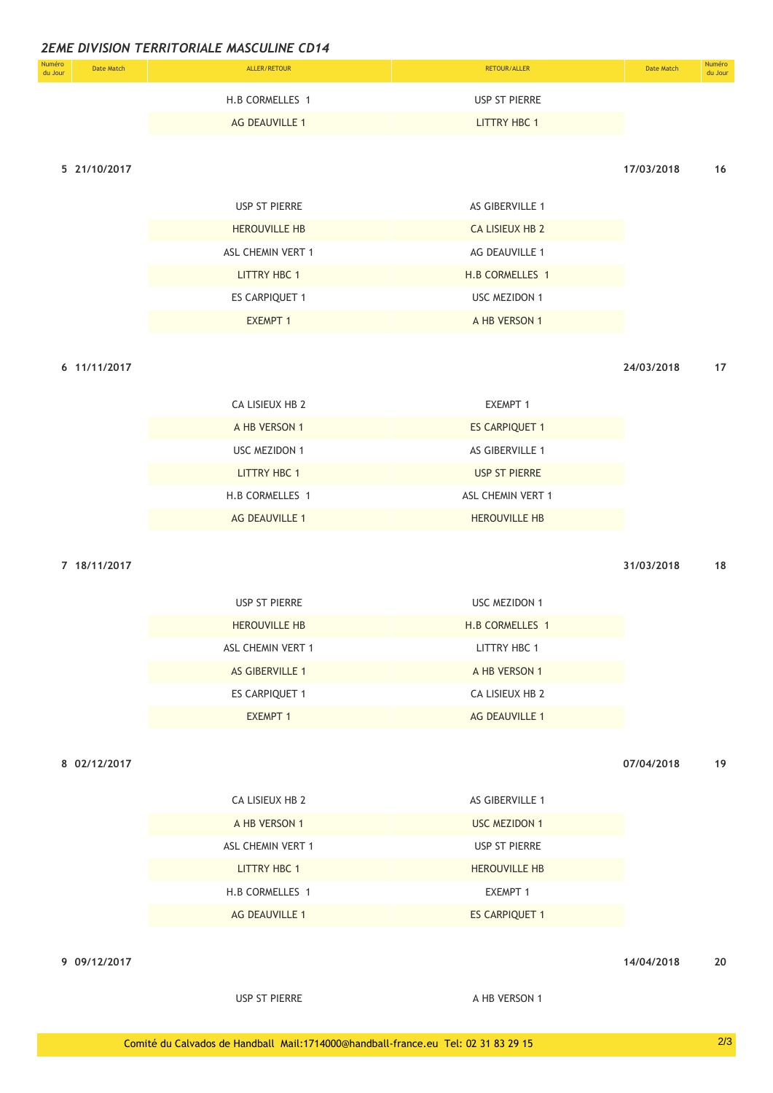| Numéro<br>du Jour | Date Match | ALLER/RETOUR    | RETOUR/ALLER  | Date Match | Numéro<br>du Jour |
|-------------------|------------|-----------------|---------------|------------|-------------------|
|                   |            | H.B CORMELLES 1 | USP ST PIERRE |            |                   |
|                   |            | AG DEAUVILLE 1  | LITTRY HBC 1  |            |                   |

### **5 21/10/2017 17/03/2018 16**

|  | <b>USP ST PIERRE</b> |
|--|----------------------|
|  |                      |

| <b>HEROUVILLE HB</b>  | <b>CA LISIEUX HB 2</b> |
|-----------------------|------------------------|
| ASL CHEMIN VERT 1     | AG DEAUVILLE 1         |
| LITTRY HBC 1          | H.B CORMELLES 1        |
| <b>ES CARPIQUET 1</b> | <b>USC MEZIDON 1</b>   |
| <b>EXEMPT 1</b>       | A HB VERSON 1          |

AS GIBERVILLE 1

**6 11/11/2017 24/03/2018 17**

| CA LISIEUX HB 2       | <b>EXEMPT 1</b>       |
|-----------------------|-----------------------|
| A HB VERSON 1         | <b>ES CARPIQUET 1</b> |
| USC MEZIDON 1         | AS GIBERVILLE 1       |
| <b>LITTRY HBC 1</b>   | <b>USP ST PIERRE</b>  |
| H.B CORMELLES 1       | ASL CHEMIN VERT 1     |
| <b>AG DEAUVILLE 1</b> | <b>HEROUVILLE HB</b>  |

### **7 18/11/2017 31/03/2018 18**

| USP ST PIERRE          | USC MEZIDON 1   |
|------------------------|-----------------|
| <b>HEROUVILLE HB</b>   | H.B CORMELLES 1 |
| ASL CHEMIN VERT 1      | LITTRY HBC 1    |
| <b>AS GIBERVILLE 1</b> | A HB VERSON 1   |
| <b>ES CARPIQUET 1</b>  | CA LISIEUX HB 2 |
| <b>EXEMPT 1</b>        | AG DEAUVILLE 1  |

**8 02/12/2017 07/04/2018 19**

| CA LISIEUX HB 2       | AS GIBERVILLE 1       |
|-----------------------|-----------------------|
| A HB VERSON 1         | <b>USC MEZIDON 1</b>  |
| ASL CHEMIN VERT 1     | USP ST PIERRE         |
| <b>LITTRY HBC 1</b>   | <b>HEROUVILLE HB</b>  |
| H.B CORMELLES 1       | EXEMPT 1              |
| <b>AG DEAUVILLE 1</b> | <b>ES CARPIQUET 1</b> |

**9 09/12/2017 14/04/2018 20**

USP ST PIERRE A HB VERSON 1

Comité du Calvados de Handball Mail:1714000@handball-france.eu Tel: 02 31 83 29 15